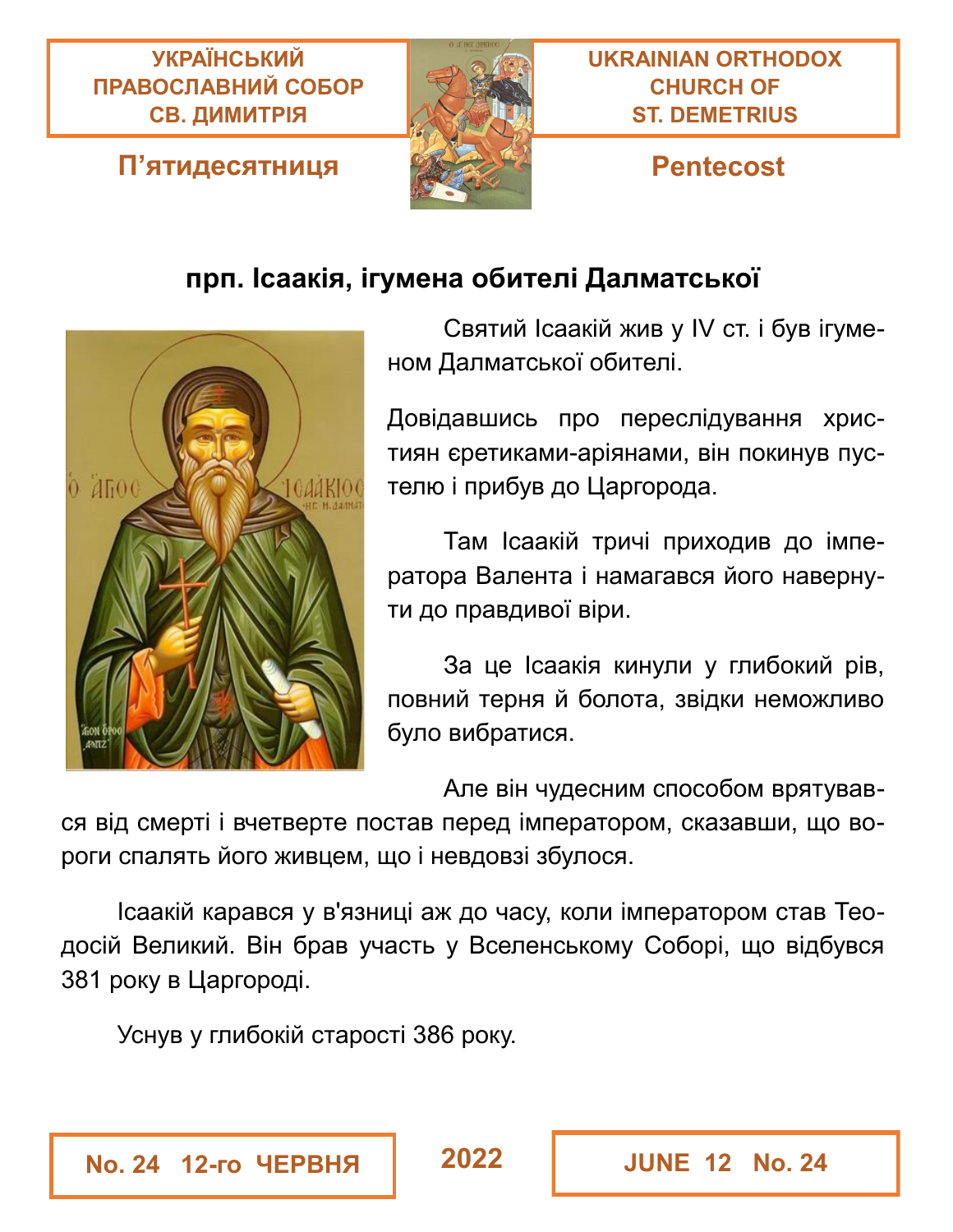#### **УКРАЇНСЬКИЙ ПРАВОСЛАВНИЙ СОБОР СВ. ДИМИТРІЯ**

#### **П'ятидесятниця Pentecost**



### **прп. Ісаакія, ігумена обителі Далматської**



Святий Ісаакій жив у IV ст. і був ігуменом Далматської обителі.

Довідавшись про переслідування християн єретиками-аріянами, він покинув пустелю і прибув до Царгорода.

Там Ісаакій тричі приходив до імператора Валента і намагався його навернути до правдивої віри.

За це Ісаакія кинули у глибокий рів, повний терня й болота, звідки неможливо було вибратися.

Але він чудесним способом врятував-

ся від смерті і вчетверте постав перед імператором, сказавши, що вороги спалять його живцем, що і невдовзі збулося.

Ісаакій карався у в'язниці аж до часу, коли імператором став Теодосій Великий. Він брав участь у Вселенському Соборі, що відбувся 381 року в Царгороді.

Уснув у глибокій старості 386 року.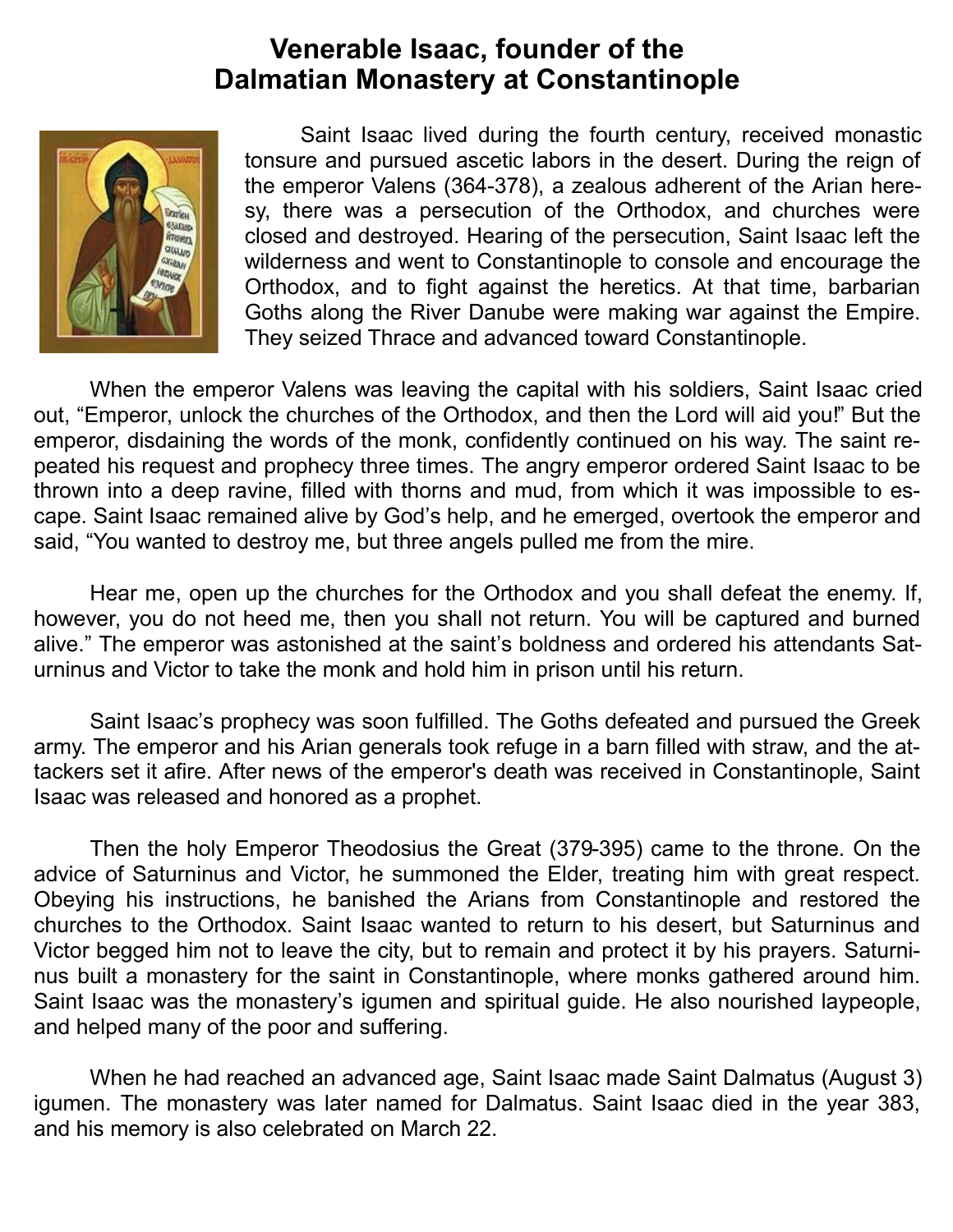#### **Venerable Isaac, founder of the Dalmatian Monastery at Constantinople**



Saint Isaac lived during the fourth century, received monastic tonsure and pursued ascetic labors in the desert. During the reign of the emperor Valens (364-378), a zealous adherent of the Arian heresy, there was a persecution of the Orthodox, and churches were closed and destroyed. Hearing of the persecution, Saint Isaac left the wilderness and went to Constantinople to console and encourage the Orthodox, and to fight against the heretics. At that time, barbarian Goths along the River Danube were making war against the Empire. They seized Thrace and advanced toward Constantinople.

When the emperor Valens was leaving the capital with his soldiers, Saint Isaac cried out, "Emperor, unlock the churches of the Orthodox, and then the Lord will aid you!" But the emperor, disdaining the words of the monk, confidently continued on his way. The saint repeated his request and prophecy three times. The angry emperor ordered Saint Isaac to be thrown into a deep ravine, filled with thorns and mud, from which it was impossible to escape. Saint Isaac remained alive by God's help, and he emerged, overtook the emperor and said, "You wanted to destroy me, but three angels pulled me from the mire.

Hear me, open up the churches for the Orthodox and you shall defeat the enemy. If, however, you do not heed me, then you shall not return. You will be captured and burned alive." The emperor was astonished at the saint's boldness and ordered his attendants Saturninus and Victor to take the monk and hold him in prison until his return.

Saint Isaac's prophecy was soon fulfilled. The Goths defeated and pursued the Greek army. The emperor and his Arian generals took refuge in a barn filled with straw, and the attackers set it afire. After news of the emperor's death was received in Constantinople, Saint Isaac was released and honored as a prophet.

Then the holy Emperor Theodosius the Great (379-395) came to the throne. On the advice of Saturninus and Victor, he summoned the Elder, treating him with great respect. Obeying his instructions, he banished the Arians from Constantinople and restored the churches to the Orthodox. Saint Isaac wanted to return to his desert, but Saturninus and Victor begged him not to leave the city, but to remain and protect it by his prayers. Saturninus built a monastery for the saint in Constantinople, where monks gathered around him. Saint Isaac was the monastery's igumen and spiritual guide. He also nourished laypeople, and helped many of the poor and suffering.

When he had reached an advanced age, Saint Isaac made Saint Dalmatus (August 3) igumen. The monastery was later named for Dalmatus. Saint Isaac died in the year 383, and his memory is also celebrated on March 22.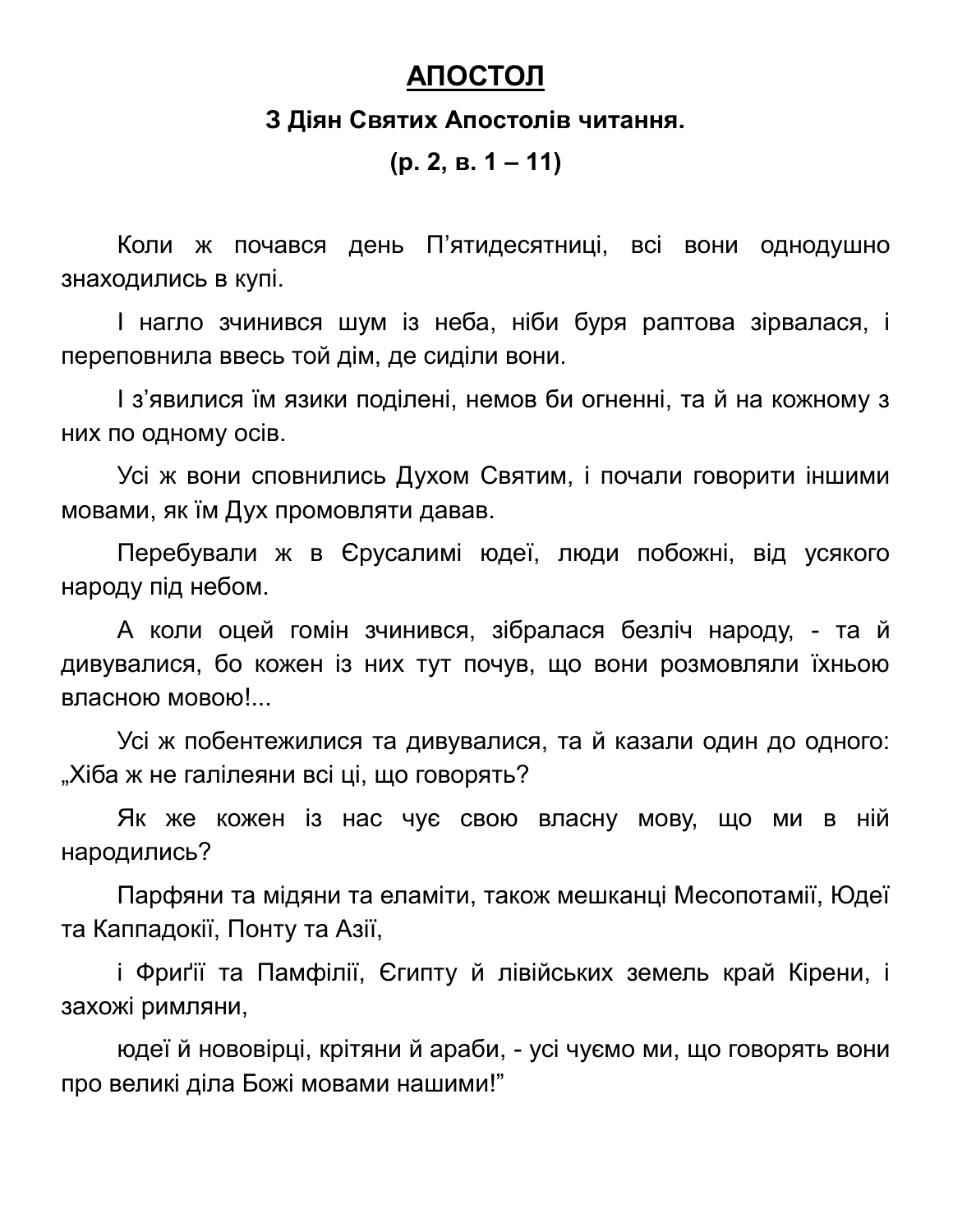#### **АПОСТОЛ**

#### **З Діян Святих Апостолів читання.**

**(р. 2, в. 1 – 11)**

Коли ж почався день П'ятидесятниці, всі вони однодушно знаходились в купі.

І нагло зчинився шум із неба, ніби буря раптова зірвалася, і переповнила ввесь той дім, де сиділи вони.

І з'явилися їм язики поділені, немов би огненні, та й на кожному з них по одному осів.

Усі ж вони сповнились Духом Святим, і почали говорити іншими мовами, як їм Дух промовляти давав.

Перебували ж в Єрусалимі юдеї, люди побожні, від усякого народу під небом.

А коли оцей гомін зчинився, зібралася безліч народу, - та й дивувалися, бо кожен із них тут почув, що вони розмовляли їхньою власною мовою!...

Усі ж побентежилися та дивувалися, та й казали один до одного: "Хіба ж не галілеяни всі ці, що говорять?

Як же кожен із нас чує свою власну мову, що ми в ній народились?

Парфяни та мідяни та еламіти, також мешканці Месопотамії, Юдеї та Каппадокії, Понту та Азії,

і Фриґії та Памфілії, Єгипту й лівійських земель край Кірени, і захожі римляни,

юдеї й нововірці, крітяни й араби, - усі чуємо ми, що говорять вони про великі діла Божі мовами нашими!"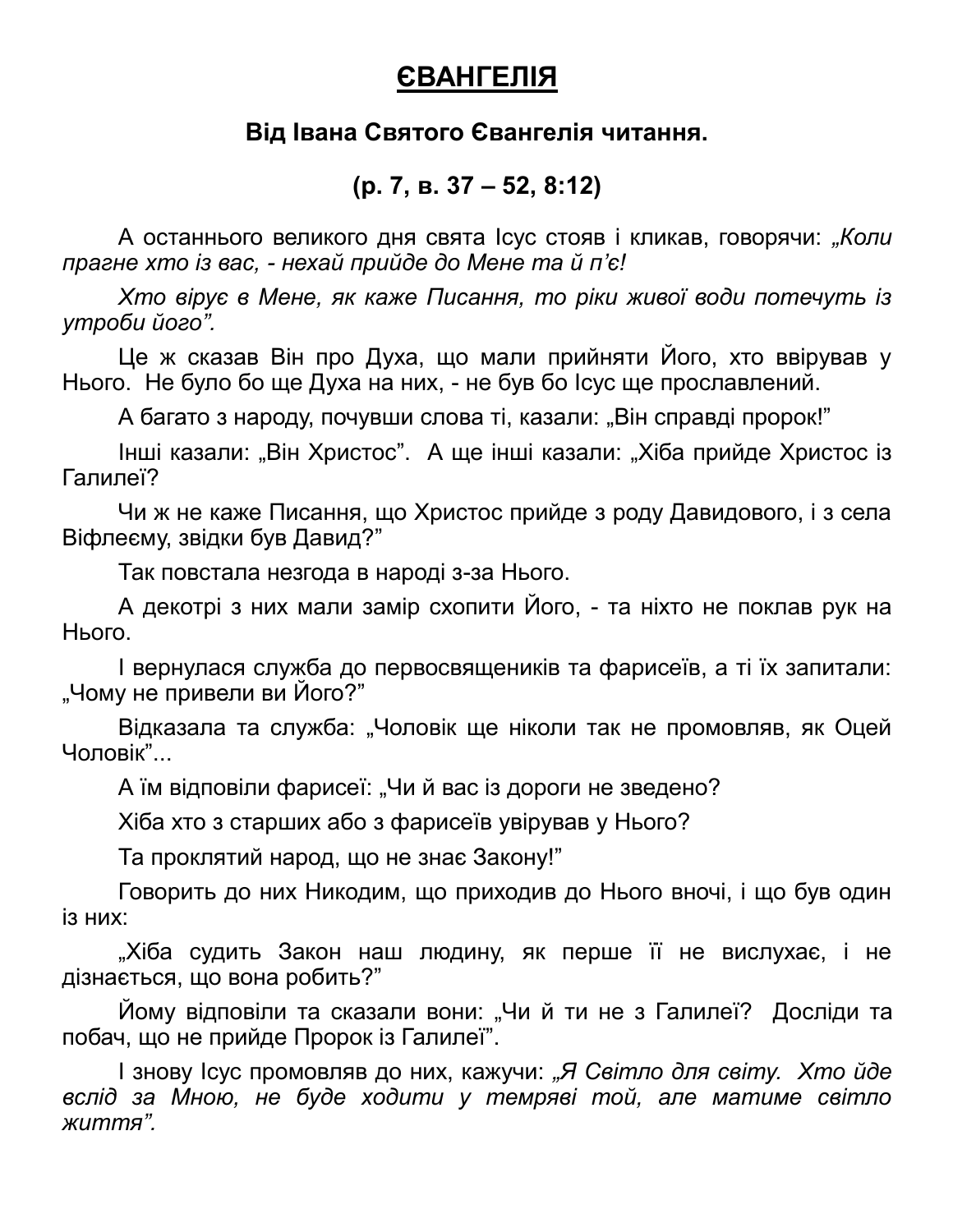#### **ЄВАНГЕЛІЯ**

#### **Від Івана Святого Євангелія читання.**

#### **(р. 7, в. 37 – 52, 8:12)**

А останнього великого дня свята Ісус стояв і кликав, говорячи: *"Коли прагне хто із вас, - нехай прийде до Мене та й п'є!*

*Хто вірує в Мене, як каже Писання, то ріки живої води потечуть із утроби його".*

Це ж сказав Він про Духа, що мали прийняти Його, хто ввірував у Нього. Не було бо ще Духа на них, - не був бо Ісус ще прославлений.

А багато з народу, почувши слова ті, казали: "Він справді пророк!"

Інші казали: "Він Христос". А ще інші казали: "Хіба прийде Христос із Галилеї?

Чи ж не каже Писання, що Христос прийде з роду Давидового, і з села Віфлеєму, звідки був Давид?"

Так повстала незгода в народі з-за Нього.

А декотрі з них мали замір схопити Його, - та ніхто не поклав рук на Нього.

І вернулася служба до первосвящеників та фарисеїв, а ті їх запитали: "Чому не привели ви Його?"

Відказала та служба: "Чоловік ще ніколи так не промовляв, як Оцей Чоловік"...

А їм відповіли фарисеї: "Чи й вас із дороги не зведено?

Хіба хто з старших або з фарисеїв увірував у Нього?

Та проклятий народ, що не знає Закону!"

Говорить до них Никодим, що приходив до Нього вночі, і що був один із них:

"Хіба судить Закон наш людину, як перше її не вислухає, і не дізнається, що вона робить?"

Йому відповіли та сказали вони: "Чи й ти не з Галилеї? Досліди та побач, що не прийде Пророк із Галилеї".

І знову Ісус промовляв до них, кажучи: *"Я Світло для світу. Хто йде вслід за Мною, не буде ходити у темряві той, але матиме світло життя".*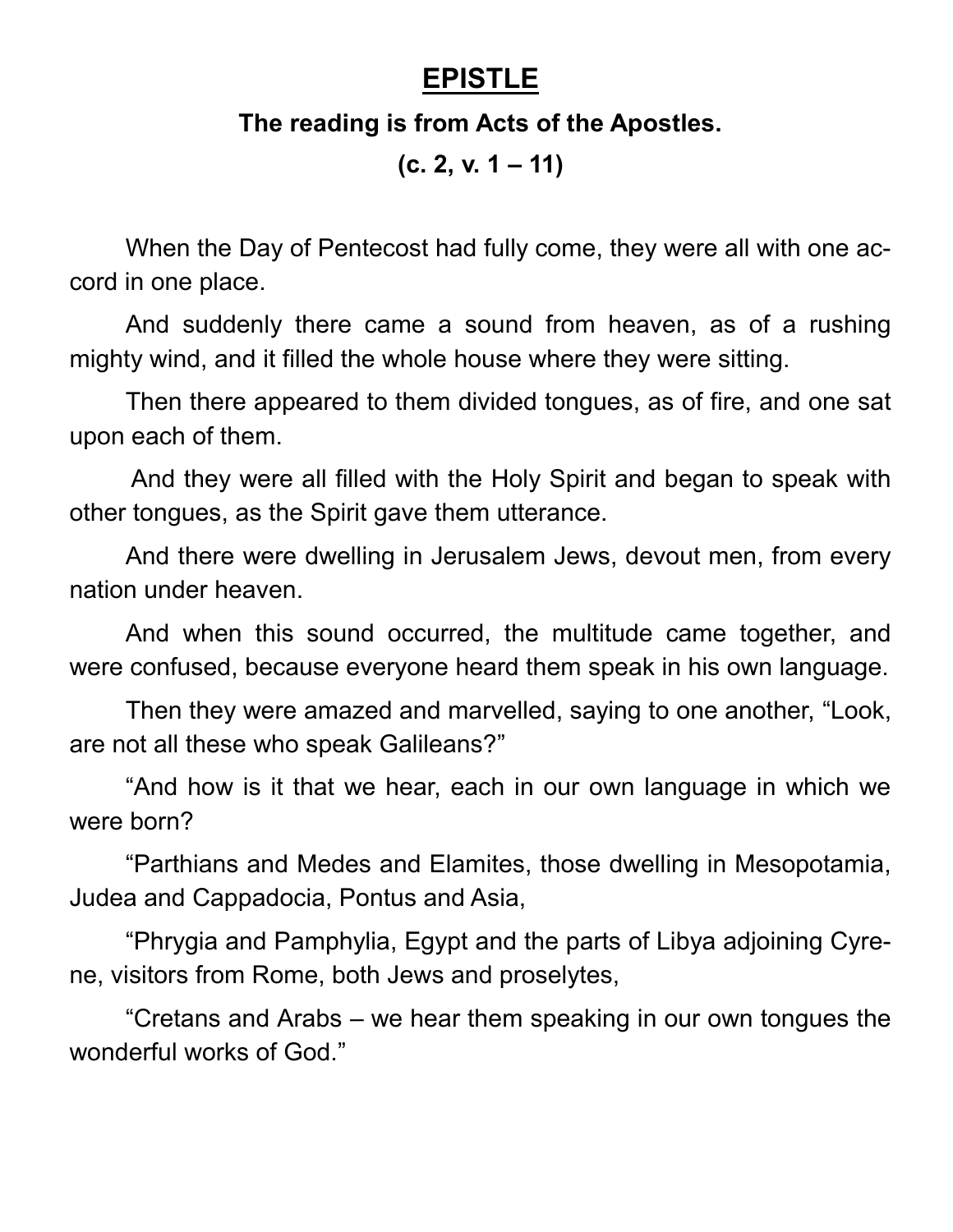### **EPISTLE**

#### **The reading is from Acts of the Apostles.**

**(c. 2, v. 1 – 11)**

When the Day of Pentecost had fully come, they were all with one accord in one place.

And suddenly there came a sound from heaven, as of a rushing mighty wind, and it filled the whole house where they were sitting.

Then there appeared to them divided tongues, as of fire, and one sat upon each of them.

And they were all filled with the Holy Spirit and began to speak with other tongues, as the Spirit gave them utterance.

And there were dwelling in Jerusalem Jews, devout men, from every nation under heaven.

And when this sound occurred, the multitude came together, and were confused, because everyone heard them speak in his own language.

Then they were amazed and marvelled, saying to one another, "Look, are not all these who speak Galileans?"

"And how is it that we hear, each in our own language in which we were born?

"Parthians and Medes and Elamites, those dwelling in Mesopotamia, Judea and Cappadocia, Pontus and Asia,

"Phrygia and Pamphylia, Egypt and the parts of Libya adjoining Cyrene, visitors from Rome, both Jews and proselytes,

"Cretans and Arabs – we hear them speaking in our own tongues the wonderful works of God."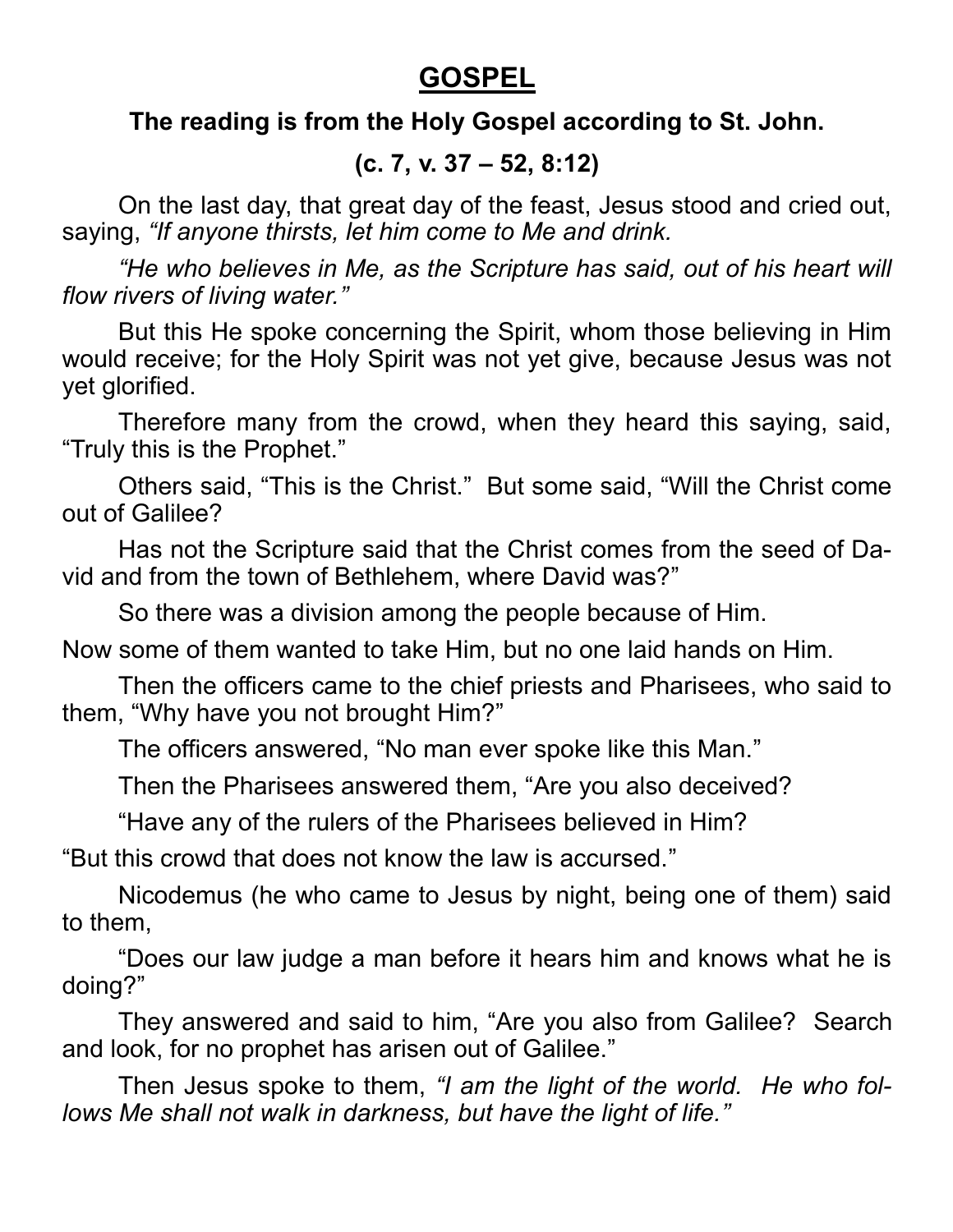### **GOSPEL**

#### **The reading is from the Holy Gospel according to St. John.**

#### **(c. 7, v. 37 – 52, 8:12)**

On the last day, that great day of the feast, Jesus stood and cried out, saying, *"If anyone thirsts, let him come to Me and drink.*

*"He who believes in Me, as the Scripture has said, out of his heart will flow rivers of living water."*

But this He spoke concerning the Spirit, whom those believing in Him would receive; for the Holy Spirit was not yet give, because Jesus was not yet glorified.

Therefore many from the crowd, when they heard this saying, said, "Truly this is the Prophet."

Others said, "This is the Christ." But some said, "Will the Christ come out of Galilee?

Has not the Scripture said that the Christ comes from the seed of David and from the town of Bethlehem, where David was?"

So there was a division among the people because of Him.

Now some of them wanted to take Him, but no one laid hands on Him.

Then the officers came to the chief priests and Pharisees, who said to them, "Why have you not brought Him?"

The officers answered, "No man ever spoke like this Man."

Then the Pharisees answered them, "Are you also deceived?

"Have any of the rulers of the Pharisees believed in Him?

"But this crowd that does not know the law is accursed."

Nicodemus (he who came to Jesus by night, being one of them) said to them,

"Does our law judge a man before it hears him and knows what he is doing?"

They answered and said to him, "Are you also from Galilee? Search and look, for no prophet has arisen out of Galilee."

Then Jesus spoke to them, *"I am the light of the world. He who follows Me shall not walk in darkness, but have the light of life."*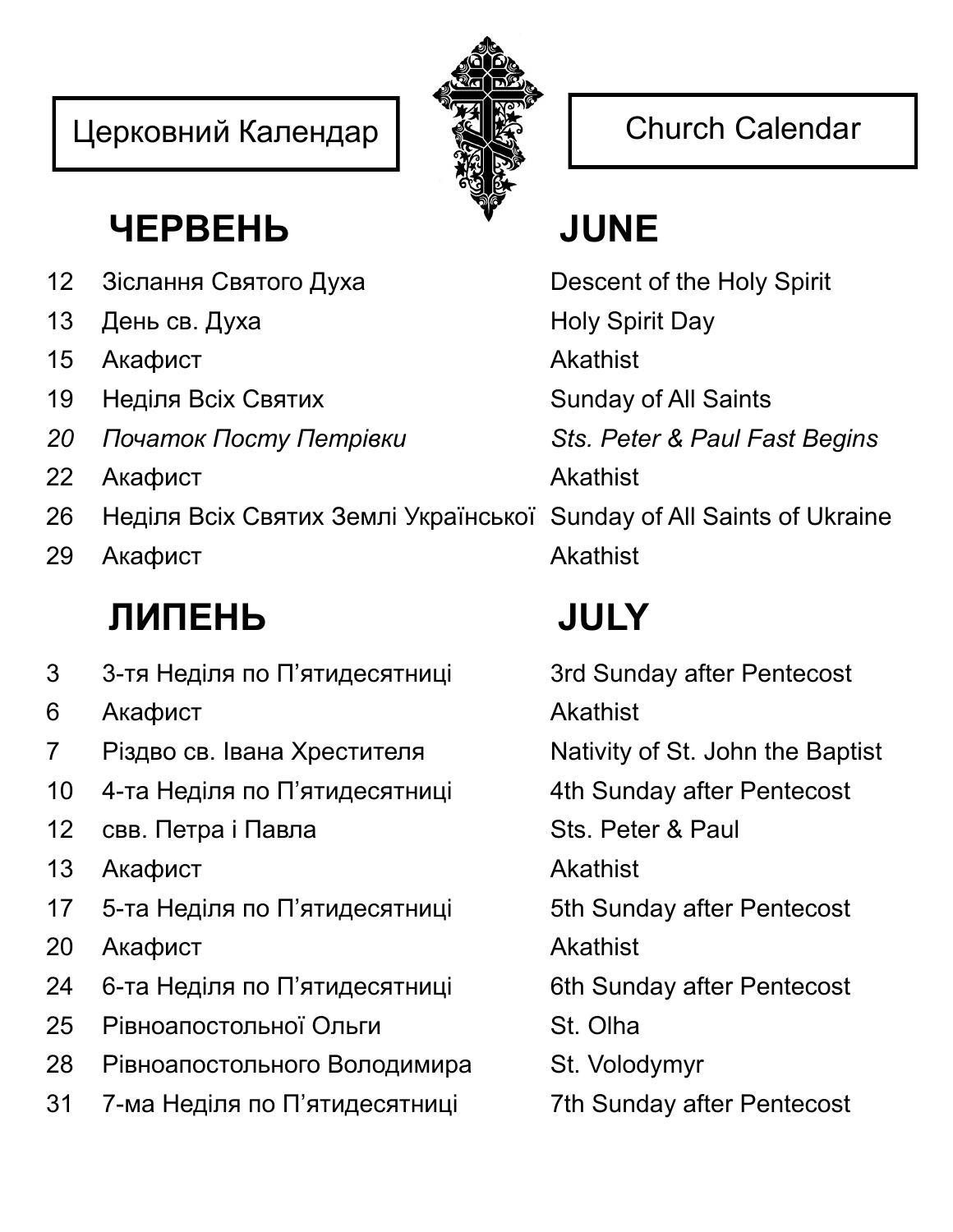## Церковний Календар | <a>  $\bigotimes_{i=1}^{\infty} \bigotimes_{i=1}^{\infty}$  Church Calendar



## **ЧЕРВЕНЬ JUNE**

- 12 Зіслання Святого Духа Descent of the Holy Spirit
- 13 День св. Духа Holy Spirit Day
- 15 Акафист **Akathist**
- 19 Неділя Всіх Святих Sunday of All Saints
- *20 Початок Посту Петрівки Sts. Peter & Paul Fast Begins*
- 22 Акафист **Akathist**
- 26 Неділя Всіх Святих Землі Української Sunday of All Saints of Ukraine
- 29 Акафист **Akathist**

# **ЛИПЕНЬ JULY**

- 3 3-тя Неділя по П'ятидесятниці 3rd Sunday after Pentecost
- 6 Акафист Akathist
- 7 Різдво св. Івана Хрестителя Nativity of St. John the Baptist
- 10 4-та Неділя по П'ятидесятниці 4th Sunday after Pentecost
- 12 свв. Петра і Павла Sts. Peter & Paul
- 13 Акафист **Akathist**
- 17 5-та Неділя по П'ятидесятниці 5th Sunday after Pentecost
- 20 Акафист **Akathist**
- 24 6-та Неділя по П'ятидесятниці 6th Sunday after Pentecost
- 25 Рівноапостольної Ольги St. Olha
- 28 Рівноапостольного Володимира St. Volodymyr
- 31 7-ма Неділя по П'ятидесятниці 7th Sunday after Pentecost